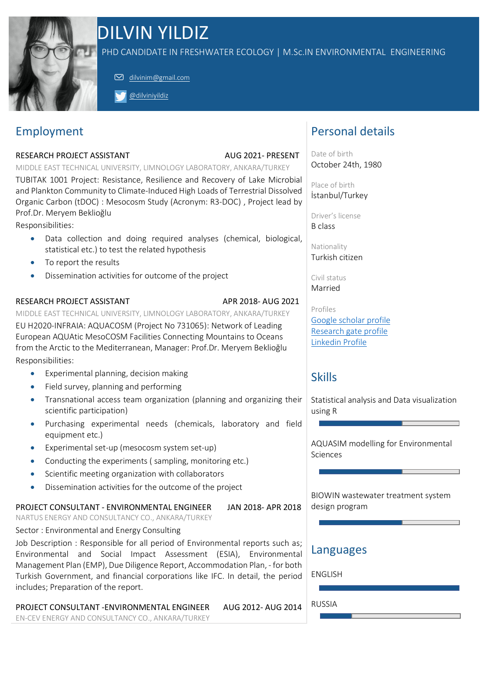

# DILVIN YILDIZ

PHD CANDIDATE IN FRESHWATER ECOLOGY | M.Sc.IN ENVIRONMENTAL ENGINEERING

dilvinim@gmail.com

@dilviniyildiz

## Employment

#### RESEARCH PROJECT ASSISTANT AUG 2021- PRESENT

MIDDLE EAST TECHNICAL UNIVERSITY, LIMNOLOGY LABORATORY, ANKARA/TURKEY

TUBITAK 1001 Project: Resistance, Resilience and Recovery of Lake Microbial and Plankton Community to Climate-Induced High Loads of Terrestrial Dissolved Organic Carbon (tDOC) : Mesocosm Study (Acronym: R3-DOC) , Project lead by Prof.Dr. Meryem Beklioğlu

Responsibilities:

- Data collection and doing required analyses (chemical, biological, statistical etc.) to test the related hypothesis
- To report the results
- Dissemination activities for outcome of the project

### RESEARCH PROJECT ASSISTANT APR 2018- APR 2018- AUG 2021

MIDDLE EAST TECHNICAL UNIVERSITY, LIMNOLOGY LABORATORY, ANKARA/TURKEY EU H2020-INFRAIA: AQUACOSM (Project No 731065): Network of Leading European AQUAtic MesoCOSM Facilities Connecting Mountains to Oceans from the Arctic to the Mediterranean, Manager: Prof.Dr. Meryem Beklioğlu Responsibilities:

- Experimental planning, decision making
- Field survey, planning and performing
- Transnational access team organization (planning and organizing their scientific participation)
- Purchasing experimental needs (chemicals, laboratory and field equipment etc.)
- Experimental set-up (mesocosm system set-up)
- Conducting the experiments ( sampling, monitoring etc.)
- Scientific meeting organization with collaborators
- Dissemination activities for the outcome of the project

### PROJECT CONSULTANT - ENVIRONMENTAL ENGINEER JAN 2018- APR 2018

NARTUS ENERGY AND CONSULTANCY CO., ANKARA/TURKEY

Sector : Environmental and Energy Consulting

Job Description : Responsible for all period of Environmental reports such as; Environmental and Social Impact Assessment (ESIA), Environmental Management Plan (EMP), Due Diligence Report, Accommodation Plan, - for both Turkish Government, and financial corporations like IFC. In detail, the period includes; Preparation of the report.

PROJECT CONSULTANT -ENVIRONMENTAL ENGINEER AUG 2012- AUG 2014 EN-CEV ENERGY AND CONSULTANCY CO., ANKARA/TURKEY

### Personal details

Date of birth October 24th, 1980

Place of birth İstanbul/Turkey

Driver's license B class

Nationality Turkish citizen

Civil status Married

Profiles Google scholar profile Research gate profile Linkedin Profile

### Skills

Statistical analysis and Data visualization using R

AQUASIM modelling for Environmental Sciences

BIOWIN wastewater treatment system design program

### Languages

ENGLISH

RUSSIA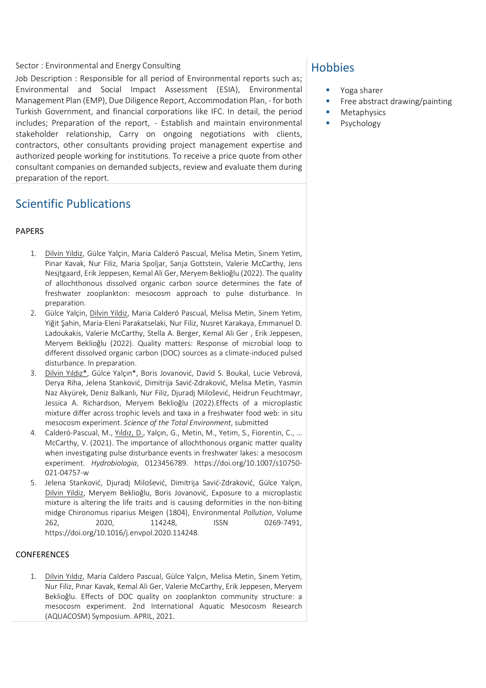#### Sector : Environmental and Energy Consulting

Job Description : Responsible for all period of Environmental reports such as; Environmental and Social Impact Assessment (ESIA), Environmental Management Plan (EMP), Due Diligence Report, Accommodation Plan, - for both Turkish Government, and financial corporations like IFC. In detail, the period includes; Preparation of the report, - Establish and maintain environmental stakeholder relationship, Carry on ongoing negotiations with clients, contractors, other consultants providing project management expertise and authorized people working for institutions. To receive a price quote from other consultant companies on demanded subjects, review and evaluate them during preparation of the report.

### Scientific Publications

#### PAPERS

- 1. Dilvin Yildiz, Gülce Yalçin, Maria Calderó Pascual, Melisa Metin, Sinem Yetim, Pinar Kavak, Nur Filiz, Maria Spoljar, Sanja Gottstein, Valerie McCarthy, Jens Nesjtgaard, Erik Jeppesen, Kemal Ali Ger, Meryem Beklioğlu (2022). The quality of allochthonous dissolved organic carbon source determines the fate of freshwater zooplankton: mesocosm approach to pulse disturbance. In preparation.
- 2. Gülce Yalçin, Dilvin Yildiz, Maria Calderó Pascual, Melisa Metin, Sinem Yetim, Yiğit Şahin, Maria-Eleni Parakatselaki, Nur Filiz, Nusret Karakaya, Emmanuel D. Ladoukakis, Valerie McCarthy, Stella A. Berger, Kemal Ali Ger , Erik Jeppesen, Meryem Beklioğlu (2022). Quality matters: Response of microbial loop to different dissolved organic carbon (DOC) sources as a climate-induced pulsed disturbance. In preparation.
- 3. Dilvin Yıldız\*, Gülce Yalçın\*, Boris Jovanović, David S. Boukal, Lucie Vebrová, Derya Riha, Jelena Stanković, Dimitrija Savić-Zdraković, Melisa Metin, Yasmin Naz Akyürek, Deniz Balkanlı, Nur Filiz, Djuradj Milošević, Heidrun Feuchtmayr, Jessica A. Richardson, Meryem Beklioğlu (2022).Effects of a microplastic mixture differ across trophic levels and taxa in a freshwater food web: in situ mesocosm experiment. *Science of the Total Environment*, submitted
- 4. Calderó-Pascual, M., Yıldız, D., Yalçın, G., Metin, M., Yetim, S., Fiorentin, C., ... McCarthy, V. (2021). The importance of allochthonous organic matter quality when investigating pulse disturbance events in freshwater lakes: a mesocosm experiment. *Hydrobiologia*, 0123456789. https://doi.org/10.1007/s10750- 021-04757-w
- 5. Jelena Stanković, Djuradj Milošević, Dimitrija Savić-Zdraković, Gülce Yalçın, Dilvin Yildiz, Meryem Beklioğlu, Boris Jovanović, Exposure to a microplastic mixture is altering the life traits and is causing deformities in the non-biting midge Chironomus riparius Meigen (1804), Environmental *Pollution*, Volume 262, 2020, 114248, ISSN 0269-7491, https://doi.org/10.1016/j.envpol.2020.114248.

#### CONFERENCES

1. Dilvin Yıldız, Maria Caldero Pascual, Gülce Yalçın, Melisa Metin, Sinem Yetim, Nur Filiz, Pınar Kavak, Kemal Ali Ger, Valerie McCarthy, Erik Jeppesen, Meryem Beklioğlu. Effects of DOC quality on zooplankton community structure: a mesocosm experiment. 2nd International Aquatic Mesocosm Research (AQUACOSM) Symposium. APRIL, 2021.

### **Hobbies**

- Yoga sharer
- **•** Free abstract drawing/painting
- **Metaphysics**
- **Psychology**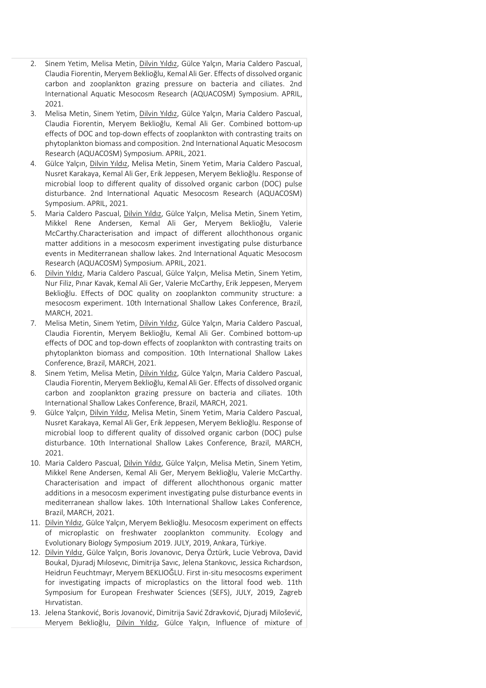- 2. Sinem Yetim, Melisa Metin, Dilvin Yıldız, Gülce Yalçın, Maria Caldero Pascual, Claudia Fiorentin, Meryem Beklioğlu, Kemal Ali Ger. Effects of dissolved organic carbon and zooplankton grazing pressure on bacteria and ciliates. 2nd International Aquatic Mesocosm Research (AQUACOSM) Symposium. APRIL, 2021.
- 3. Melisa Metin, Sinem Yetim, Dilvin Yıldız, Gülce Yalçın, Maria Caldero Pascual, Claudia Fiorentin, Meryem Beklioğlu, Kemal Ali Ger. Combined bottom-up effects of DOC and top-down effects of zooplankton with contrasting traits on phytoplankton biomass and composition. 2nd International Aquatic Mesocosm Research (AQUACOSM) Symposium. APRIL, 2021.
- 4. Gülce Yalçın, Dilvin Yıldız, Melisa Metin, Sinem Yetim, Maria Caldero Pascual, Nusret Karakaya, Kemal Ali Ger, Erik Jeppesen, Meryem Beklioğlu. Response of microbial loop to different quality of dissolved organic carbon (DOC) pulse disturbance. 2nd International Aquatic Mesocosm Research (AQUACOSM) Symposium. APRIL, 2021.
- 5. Maria Caldero Pascual, Dilvin Yıldız, Gülce Yalçın, Melisa Metin, Sinem Yetim, Mikkel Rene Andersen, Kemal Ali Ger, Meryem Beklioğlu, Valerie McCarthy.Characterisation and impact of different allochthonous organic matter additions in a mesocosm experiment investigating pulse disturbance events in Mediterranean shallow lakes. 2nd International Aquatic Mesocosm Research (AQUACOSM) Symposium. APRIL, 2021.
- 6. Dilvin Yıldız, Maria Caldero Pascual, Gülce Yalçın, Melisa Metin, Sinem Yetim, Nur Filiz, Pınar Kavak, Kemal Ali Ger, Valerie McCarthy, Erik Jeppesen, Meryem Beklioğlu. Effects of DOC quality on zooplankton community structure: a mesocosm experiment. 10th International Shallow Lakes Conference, Brazil, MARCH, 2021.
- 7. Melisa Metin, Sinem Yetim, Dilvin Yıldız, Gülce Yalçın, Maria Caldero Pascual, Claudia Fiorentin, Meryem Beklioğlu, Kemal Ali Ger. Combined bottom-up effects of DOC and top-down effects of zooplankton with contrasting traits on phytoplankton biomass and composition. 10th International Shallow Lakes Conference, Brazil, MARCH, 2021.
- 8. Sinem Yetim, Melisa Metin, Dilvin Yıldız, Gülce Yalçın, Maria Caldero Pascual, Claudia Fiorentin, Meryem Beklioğlu, Kemal Ali Ger. Effects of dissolved organic carbon and zooplankton grazing pressure on bacteria and ciliates. 10th International Shallow Lakes Conference, Brazil, MARCH, 2021.
- 9. Gülce Yalçın, Dilvin Yıldız, Melisa Metin, Sinem Yetim, Maria Caldero Pascual, Nusret Karakaya, Kemal Ali Ger, Erik Jeppesen, Meryem Beklioğlu. Response of microbial loop to different quality of dissolved organic carbon (DOC) pulse disturbance. 10th International Shallow Lakes Conference, Brazil, MARCH, 2021.
- 10. Maria Caldero Pascual, Dilvin Yıldız, Gülce Yalçın, Melisa Metin, Sinem Yetim, Mikkel Rene Andersen, Kemal Ali Ger, Meryem Beklioğlu, Valerie McCarthy. Characterisation and impact of different allochthonous organic matter additions in a mesocosm experiment investigating pulse disturbance events in mediterranean shallow lakes. 10th International Shallow Lakes Conference, Brazil, MARCH, 2021.
- 11. Dilvin Yıldız, Gülce Yalçın, Meryem Beklioğlu. Mesocosm experiment on effects of microplastic on freshwater zooplankton community. Ecology and Evolutionary Biology Symposium 2019. JULY, 2019, Ankara, Türkiye.
- 12. Dilvin Yıldız, Gülce Yalçın, Boris Jovanovıc, Derya Öztürk, Lucie Vebrova, David Boukal, Djuradj Mılosevıc, Dimitrija Savıc, Jelena Stankovıc, Jessica Rıchardson, Heidrun Feuchtmayr, Meryem BEKLIOĞLU. First in-situ mesocosms experiment for investigating impacts of microplastics on the littoral food web. 11th Symposium for European Freshwater Sciences (SEFS), JULY, 2019, Zagreb Hırvatistan.
- 13. Jelena Stanković, Boris Jovanović, Dimitrija Savić Zdravković, Djuradj Milošević, Meryem Beklioğlu, Dilvin Yıldız, Gülce Yalçın, Influence of mixture of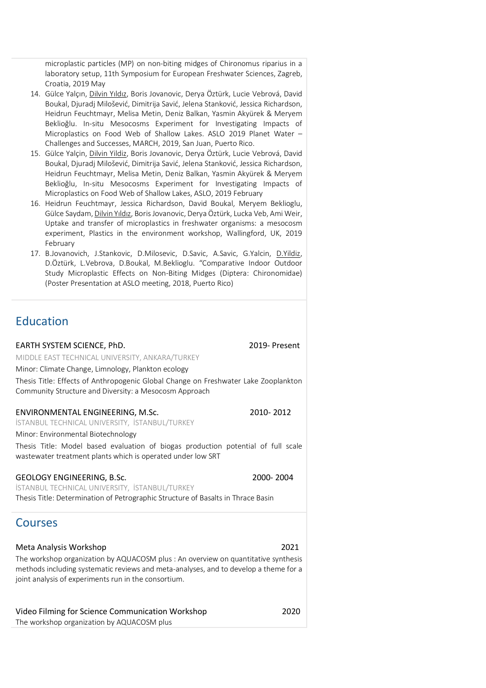microplastic particles (MP) on non-biting midges of Chironomus riparius in a laboratory setup, 11th Symposium for European Freshwater Sciences, Zagreb, Croatia, 2019 May

- 14. Gülce Yalçın, Dilvin Yıldız, Boris Jovanovic, Derya Öztürk, Lucie Vebrová, David Boukal, Djuradj Milošević, Dimitrija Savić, Jelena Stanković, Jessica Richardson, Heidrun Feuchtmayr, Melisa Metin, Deniz Balkan, Yasmin Akyürek & Meryem Beklioğlu. In-situ Mesocosms Experiment for Investigating Impacts of Microplastics on Food Web of Shallow Lakes. ASLO 2019 Planet Water – Challenges and Successes, MARCH, 2019, San Juan, Puerto Rico.
- 15. Gülce Yalçin, Dilvin Yildiz, Boris Jovanovic, Derya Öztürk, Lucie Vebrová, David Boukal, Djuradj Milošević, Dimitrija Savić, Jelena Stanković, Jessica Richardson, Heidrun Feuchtmayr, Melisa Metin, Deniz Balkan, Yasmin Akyürek & Meryem Beklioğlu, In-situ Mesocosms Experiment for Investigating Impacts of Microplastics on Food Web of Shallow Lakes, ASLO, 2019 February
- 16. Heidrun Feuchtmayr, Jessica Richardson, David Boukal, Meryem Beklioglu, Gülce Saydam, Dilvin Yıldız, Boris Jovanovic, Derya Öztürk, Lucka Veb, Ami Weir, Uptake and transfer of microplastics in freshwater organisms: a mesocosm experiment, Plastics in the environment workshop, Wallingford, UK, 2019 February
- 17. B.Jovanovich, J.Stankovic, D.Milosevic, D.Savic, A.Savic, G.Yalcin, D.Yildiz, D.Öztürk, L.Vebrova, D.Boukal, M.Beklioglu. "Comparative Indoor Outdoor Study Microplastic Effects on Non-Biting Midges (Diptera: Chironomidae) (Poster Presentation at ASLO meeting, 2018, Puerto Rico)

### Education

#### EARTH SYSTEM SCIENCE, PhD. 2019- Present

MIDDLE EAST TECHNICAL UNIVERSITY, ANKARA/TURKEY

Minor: Climate Change, Limnology, Plankton ecology

Thesis Title: Effects of Anthropogenic Global Change on Freshwater Lake Zooplankton Community Structure and Diversity: a Mesocosm Approach

#### ENVIRONMENTAL ENGINEERING, M.Sc. 2010- 2012

İSTANBUL TECHNICAL UNIVERSITY, İSTANBUL/TURKEY

Minor: Environmental Biotechnology

Thesis Title: Model based evaluation of biogas production potential of full scale wastewater treatment plants which is operated under low SRT

#### GEOLOGY ENGINEERING, B.Sc. 2000- 2004

İSTANBUL TECHNICAL UNIVERSITY, İSTANBUL/TURKEY Thesis Title: Determination of Petrographic Structure of Basalts in Thrace Basin

### Courses

#### Meta Analysis Workshop 2021

The workshop organization by AQUACOSM plus : An overview on quantitative synthesis methods including systematic reviews and meta-analyses, and to develop a theme for a joint analysis of experiments run in the consortium.

| Video Filming for Science Communication Workshop | 2020 |
|--------------------------------------------------|------|
| The workshop organization by AQUACOSM plus       |      |